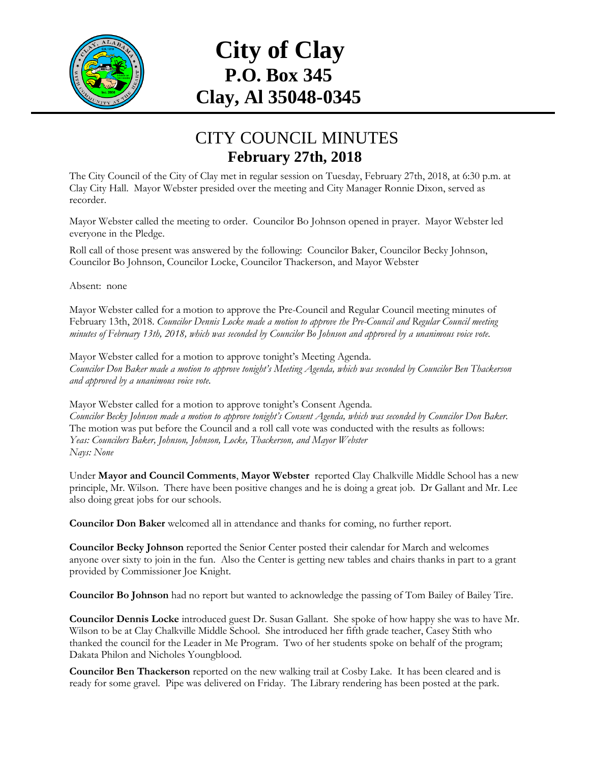

## **City of Clay P.O. Box 345 Clay, Al 35048-0345**

## CITY COUNCIL MINUTES **February 27th, 2018**

The City Council of the City of Clay met in regular session on Tuesday, February 27th, 2018, at 6:30 p.m. at Clay City Hall. Mayor Webster presided over the meeting and City Manager Ronnie Dixon, served as recorder.

Mayor Webster called the meeting to order. Councilor Bo Johnson opened in prayer. Mayor Webster led everyone in the Pledge.

Roll call of those present was answered by the following: Councilor Baker, Councilor Becky Johnson, Councilor Bo Johnson, Councilor Locke, Councilor Thackerson, and Mayor Webster

Absent: none

Mayor Webster called for a motion to approve the Pre-Council and Regular Council meeting minutes of February 13th, 2018. *Councilor Dennis Locke made a motion to approve the Pre-Council and Regular Council meeting minutes of February 13th, 2018, which was seconded by Councilor Bo Johnson and approved by a unanimous voice vote.*

Mayor Webster called for a motion to approve tonight's Meeting Agenda. *Councilor Don Baker made a motion to approve tonight's Meeting Agenda, which was seconded by Councilor Ben Thackerson and approved by a unanimous voice vote.*

Mayor Webster called for a motion to approve tonight's Consent Agenda. *Councilor Becky Johnson made a motion to approve tonight's Consent Agenda, which was seconded by Councilor Don Baker.*  The motion was put before the Council and a roll call vote was conducted with the results as follows: *Yeas: Councilors Baker, Johnson, Johnson, Locke, Thackerson, and Mayor Webster Nays: None*

Under **Mayor and Council Comments**, **Mayor Webster** reported Clay Chalkville Middle School has a new principle, Mr. Wilson. There have been positive changes and he is doing a great job. Dr Gallant and Mr. Lee also doing great jobs for our schools.

**Councilor Don Baker** welcomed all in attendance and thanks for coming, no further report.

**Councilor Becky Johnson** reported the Senior Center posted their calendar for March and welcomes anyone over sixty to join in the fun. Also the Center is getting new tables and chairs thanks in part to a grant provided by Commissioner Joe Knight.

**Councilor Bo Johnson** had no report but wanted to acknowledge the passing of Tom Bailey of Bailey Tire.

**Councilor Dennis Locke** introduced guest Dr. Susan Gallant. She spoke of how happy she was to have Mr. Wilson to be at Clay Chalkville Middle School. She introduced her fifth grade teacher, Casey Stith who thanked the council for the Leader in Me Program. Two of her students spoke on behalf of the program; Dakata Philon and Nicholes Youngblood.

**Councilor Ben Thackerson** reported on the new walking trail at Cosby Lake. It has been cleared and is ready for some gravel. Pipe was delivered on Friday. The Library rendering has been posted at the park.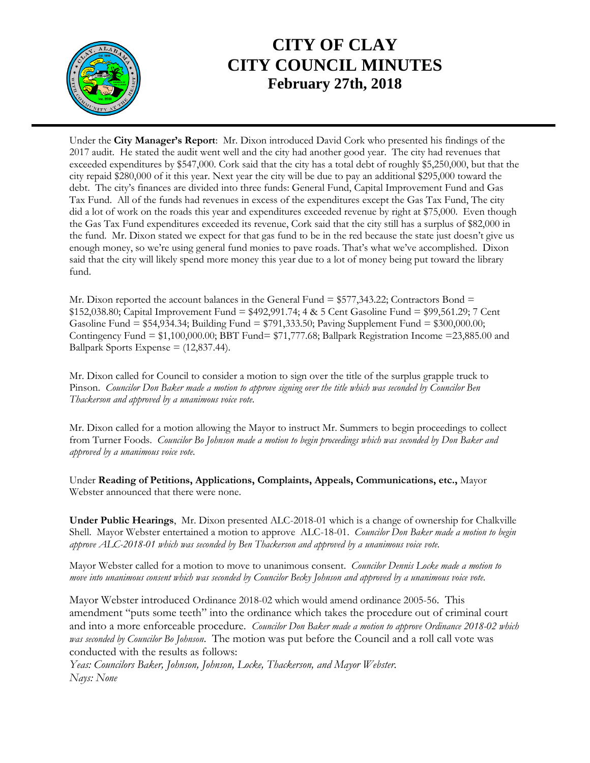

## **CITY OF CLAY CITY COUNCIL MINUTES February 27th, 2018**

Under the **City Manager's Report**: Mr. Dixon introduced David Cork who presented his findings of the 2017 audit. He stated the audit went well and the city had another good year. The city had revenues that exceeded expenditures by \$547,000. Cork said that the city has a total debt of roughly \$5,250,000, but that the city repaid \$280,000 of it this year. Next year the city will be due to pay an additional \$295,000 toward the debt. The city's finances are divided into three funds: General Fund, Capital Improvement Fund and Gas Tax Fund. All of the funds had revenues in excess of the expenditures except the Gas Tax Fund, The city did a lot of work on the roads this year and expenditures exceeded revenue by right at \$75,000. Even though the Gas Tax Fund expenditures exceeded its revenue, Cork said that the city still has a surplus of \$82,000 in the fund. Mr. Dixon stated we expect for that gas fund to be in the red because the state just doesn't give us enough money, so we're using general fund monies to pave roads. That's what we've accomplished. Dixon said that the city will likely spend more money this year due to a lot of money being put toward the library fund.

Mr. Dixon reported the account balances in the General Fund  $= $577,343.22$ ; Contractors Bond  $=$ \$152,038.80; Capital Improvement Fund = \$492,991.74; 4 & 5 Cent Gasoline Fund = \$99,561.29; 7 Cent Gasoline Fund = \$54,934.34; Building Fund = \$791,333.50; Paving Supplement Fund = \$300,000.00; Contingency Fund  $= $1,100,000.00;$  BBT Fund  $= $71,777.68;$  Ballpark Registration Income  $= 23,885.00$  and Ballpark Sports Expense  $= (12,837.44)$ .

Mr. Dixon called for Council to consider a motion to sign over the title of the surplus grapple truck to Pinson. *Councilor Don Baker made a motion to approve signing over the title which was seconded by Councilor Ben Thackerson and approved by a unanimous voice vote.* 

Mr. Dixon called for a motion allowing the Mayor to instruct Mr. Summers to begin proceedings to collect from Turner Foods. *Councilor Bo Johnson made a motion to begin proceedings which was seconded by Don Baker and approved by a unanimous voice vote.* 

Under **Reading of Petitions, Applications, Complaints, Appeals, Communications, etc.,** Mayor Webster announced that there were none.

**Under Public Hearings**, Mr. Dixon presented ALC-2018-01 which is a change of ownership for Chalkville Shell. Mayor Webster entertained a motion to approve ALC-18-01. *Councilor Don Baker made a motion to begin approve ALC-2018-01 which was seconded by Ben Thackerson and approved by a unanimous voice vote.* 

Mayor Webster called for a motion to move to unanimous consent. *Councilor Dennis Locke made a motion to move into unanimous consent which was seconded by Councilor Becky Johnson and approved by a unanimous voice vote.* 

Mayor Webster introduced Ordinance 2018-02 which would amend ordinance 2005-56. This amendment "puts some teeth" into the ordinance which takes the procedure out of criminal court and into a more enforceable procedure. *Councilor Don Baker made a motion to approve Ordinance 2018-02 which was seconded by Councilor Bo Johnson*. The motion was put before the Council and a roll call vote was conducted with the results as follows:

*Yeas: Councilors Baker, Johnson, Johnson, Locke, Thackerson, and Mayor Webster. Nays: None*